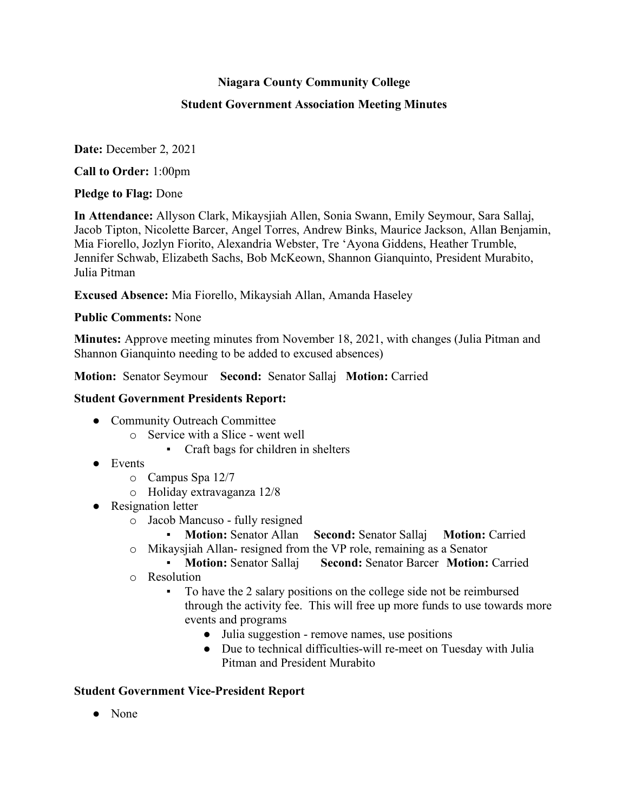# **Niagara County Community College**

## **Student Government Association Meeting Minutes**

**Date:** December 2, 2021

**Call to Order:** 1:00pm

**Pledge to Flag:** Done

**In Attendance:** Allyson Clark, Mikaysjiah Allen, Sonia Swann, Emily Seymour, Sara Sallaj, Jacob Tipton, Nicolette Barcer, Angel Torres, Andrew Binks, Maurice Jackson, Allan Benjamin, Mia Fiorello, Jozlyn Fiorito, Alexandria Webster, Tre 'Ayona Giddens, Heather Trumble, Jennifer Schwab, Elizabeth Sachs, Bob McKeown, Shannon Gianquinto, President Murabito, Julia Pitman

**Excused Absence:** Mia Fiorello, Mikaysiah Allan, Amanda Haseley

**Public Comments:** None

**Minutes:** Approve meeting minutes from November 18, 2021, with changes (Julia Pitman and Shannon Gianquinto needing to be added to excused absences)

**Motion:** Senator Seymour **Second:** Senator Sallaj **Motion:** Carried

# **Student Government Presidents Report:**

- Community Outreach Committee
	- o Service with a Slice went well
		- Craft bags for children in shelters
- Events
	- o Campus Spa 12/7
	- o Holiday extravaganza 12/8
- Resignation letter
	- o Jacob Mancuso fully resigned
		- **Motion:** Senator Allan **Second:** Senator Sallaj **Motion:** Carried
	- o Mikaysjiah Allan- resigned from the VP role, remaining as a Senator
		- **Motion:** Senator Sallaj **Second:** Senator Barcer **Motion:** Carried
	- o Resolution
		- To have the 2 salary positions on the college side not be reimbursed through the activity fee. This will free up more funds to use towards more events and programs
			- Julia suggestion remove names, use positions
			- Due to technical difficulties-will re-meet on Tuesday with Julia Pitman and President Murabito

# **Student Government Vice-President Report**

● None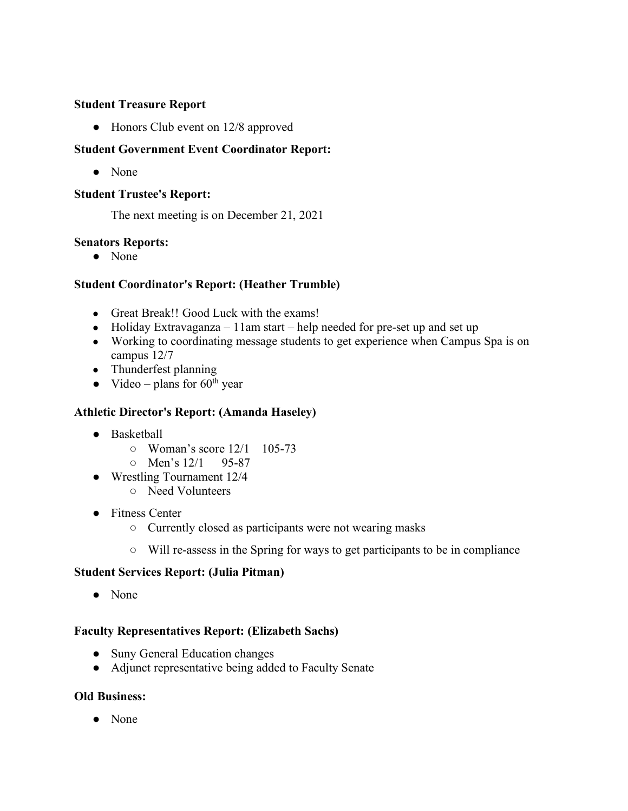## **Student Treasure Report**

• Honors Club event on 12/8 approved

# **Student Government Event Coordinator Report:**

● None

## **Student Trustee's Report:**

The next meeting is on December 21, 2021

## **Senators Reports:**

● None

# **Student Coordinator's Report: (Heather Trumble)**

- Great Break!! Good Luck with the exams!
- Holiday Extravaganza 11am start help needed for pre-set up and set up
- Working to coordinating message students to get experience when Campus Spa is on campus 12/7
- Thunderfest planning
- Video plans for  $60<sup>th</sup>$  year

#### **Athletic Director's Report: (Amanda Haseley)**

- Basketball
	- Woman's score 12/1 105-73
	- Men's 12/1 95-87
- Wrestling Tournament 12/4
	- Need Volunteers
- Fitness Center
	- Currently closed as participants were not wearing masks
	- Will re-assess in the Spring for ways to get participants to be in compliance

#### **Student Services Report: (Julia Pitman)**

● None

#### **Faculty Representatives Report: (Elizabeth Sachs)**

- Suny General Education changes
- Adjunct representative being added to Faculty Senate

#### **Old Business:**

● None